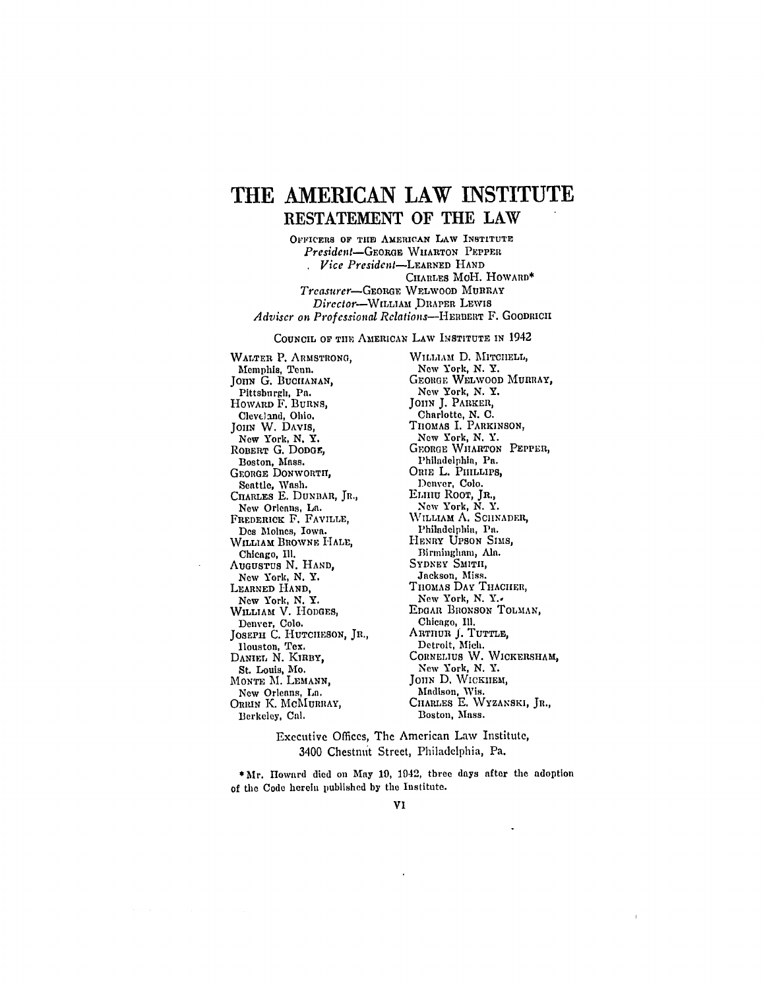## **THE AMERICAN LAW INSTITUTE RESTATEMENT** OF THE LAW

**OFIFICERS OF TIlE AMERICAN LAW INSTITUTE** *President-GEoRaE,* WHARTON PEPPER *Vice President-LEARNED* **HAND** CIIARLES MoH. HOWARD\* *Treasurer-GEORGE* WELWOOD MURRAY *Director-WiLLAM* DRAPER LEWIS *Adviser on Professional Relations-HERnrRT* F. **GOODRICH**

**COUNCIL OF** TIE AMERICAN LAW INSTITUTE **IN** 1942

WALTER P. ARMSTRONG, Memphis, Tenn. JOHN G. BUCHANAN, Pittsburgh, Pa. HOWARD F. BURNS, Cleveland, Ohio. JOHN W. DAVIS, New York, **N.** Y. ROBERT **G. DODGE,** Boston, Mass. **GEORGE** DONWORTIT, Seattle, **Wash.** CHARLES E. DUNBAR, JR., New Orleans, La. FREDERICK F. FAVILLE, **Des** Moines, Iowa. WILLIAM BROWNE **HALE,** Chicago, Ill. **AUGUSTUS N. HAND,** New York, N. Y. LEARNED **HAND,** New York, N. Y. WILLIAM V. HODGES Denver, Colo. JOSEPH **C. HUTCHESON, JR.,** Houston, Tex. DANIEL N. KIRBY, St. Louis, **Me. MONTE** M. **LEMANN,** New Orleans, La. **ORRIN** K. **MCMUIRAY,** Berkeley, Cal.

WILLIAM D. MITCHELL, New York, N. Y. **GEO1GE** WELWOOD MURRAY, New York, N. Y. *JOHN* **J.** PARKER, Charlotte, N. C. THOMAS I. PARKINSON, New York, N. Y. GEORGE WHARTON PEPPER, Philadelphia, Pa. ORIE L. PHILLIPS, Denver, Colo. ELIlU ROOT, JR., New York, N. Y. WILLIAM A. SCHNADER, Philadelphia, Pa. HENRY UPSON SIMS, Birmingham, **AIR.** SYDNEY SMITH, Jackson, Miss. THOMAS DAY THACHER, New York, N. Y., EDGAR BRONSON TOLMAN, Chicago, Ill. ARTHUR **J.** TUTTLE, Detroit, Mich. CORNELIUS W. WICKERSHAM, New York, N. Y. JOHN D. WICKHEM, Madison, Wis. CHARLES E. WYZANSKI, JR., Boston, Mass.

Executive Offices, The American Law Institute, 3400 Chestnut Street, Philadelphia, Pa.

**\*Mr.** Howard died on **May 19,** 1942, three days after the adoption of the Code herein published **by** the Institute.

VI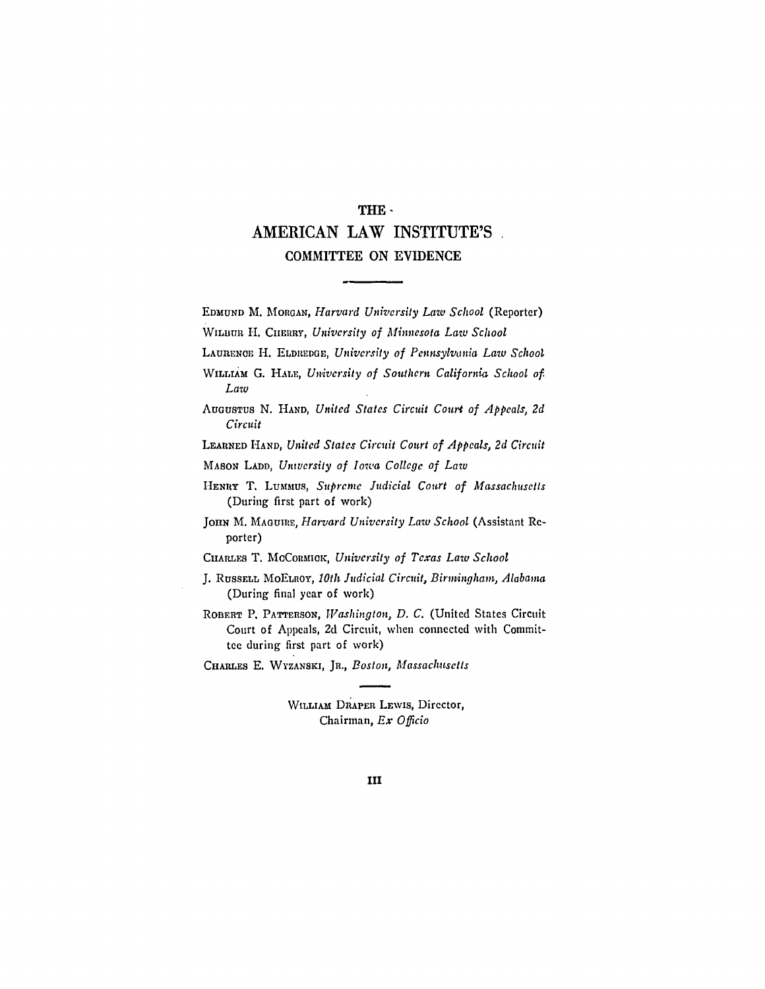## THE-AMERICAN LAW **INSTITUTE'S** COMMITTEE **ON EVIDENCE**

EDMUND M. **MORGAN,** *Harvard University Law School* (Reporter)

WILBUR H. CHERRY, *University of Minnesota Law School* 

LAUREN0C. H. ELDREDGE, *University of Pennsylvania Law School*

LEARNED **HAND,** *United States Circuit Court of Appeals, 2d Circuit*

MASON **LADD,** *University of Iowa College of Law*

CHARLES T. MCCORMICK, University of Texas Law School

**J.** RUSSELL MoELROY, *10th Judicial Circuit, Birmingham, Alabama* (During final year of work)

ROBERT P. PATTERSON, *Washington, D. C.* (United States Circuit Court of Appeals, 2d Circuit, when connected with Committee during first part of work)

CHARLES E. WYZANSKI, JR., *Boston, Massachusetts*

WILLIAM DRAPER LEWIS, Director, Chairman, *Ex Officio*

*WILLrmM* **G.** HALE, *University* of Southern *California School of Law*

AUGUSTUS **N.** HAND, *United States Circuit Court of Appeals, 2d Circuit*

HENRY T. LuMMus, *Supreme Judicial Court of Massachusetts* (During first part of work)

JOHN M. MAGUIRE, *Harvard University Law School* (Assistant Reporter)